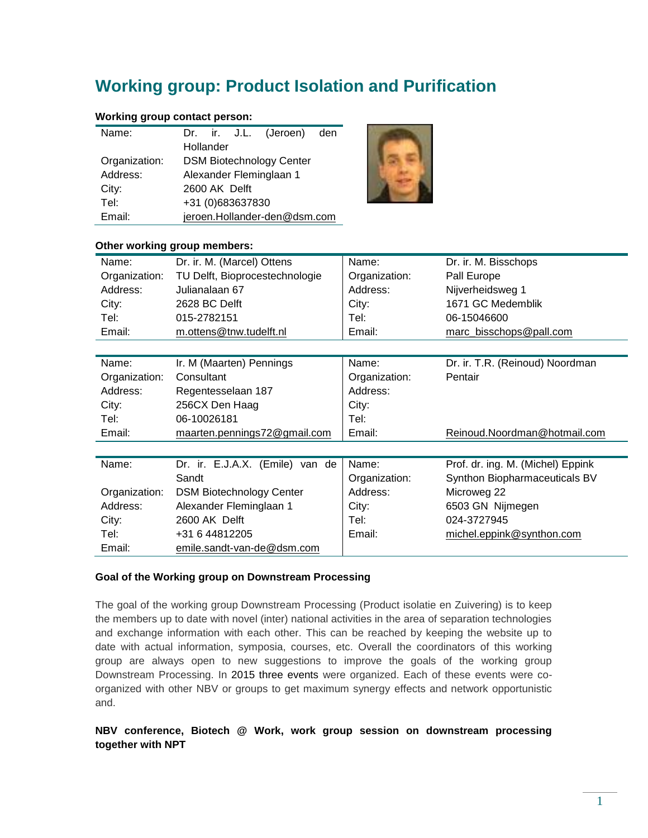# **Working group: Product Isolation and Purification**

## **Working group contact person:**

| Name:         |                                 |           |               | Dr. ir. J.L. (Jeroen) den |  |
|---------------|---------------------------------|-----------|---------------|---------------------------|--|
|               |                                 | Hollander |               |                           |  |
| Organization: | <b>DSM Biotechnology Center</b> |           |               |                           |  |
| Address:      | Alexander Fleminglaan 1         |           |               |                           |  |
| City:         |                                 |           | 2600 AK Delft |                           |  |
| Tel:          | +31 (0)683637830                |           |               |                           |  |
| Email:        | jeroen.Hollander-den@dsm.com    |           |               |                           |  |



#### **Other working group members:**

| Name:         | Dr. ir. M. (Marcel) Ottens      | Name:         | Dr. ir. M. Bisschops              |
|---------------|---------------------------------|---------------|-----------------------------------|
| Organization: | TU Delft, Bioprocestechnologie  | Organization: | Pall Europe                       |
| Address:      | Julianalaan 67                  | Address:      | Nijverheidsweg 1                  |
| City:         | 2628 BC Delft                   | City:         | 1671 GC Medemblik                 |
| Tel:          | 015-2782151                     | Tel:          | 06-15046600                       |
| Email:        | m.ottens@tnw.tudelft.nl         | Email:        | marc_bisschops@pall.com           |
|               |                                 |               |                                   |
| Name:         | Ir. M (Maarten) Pennings        | Name:         | Dr. ir. T.R. (Reinoud) Noordman   |
| Organization: | Consultant                      | Organization: | Pentair                           |
| Address:      | Regentesselaan 187              | Address:      |                                   |
| City:         | 256CX Den Haag                  | City:         |                                   |
| Tel:          | 06-10026181                     | Tel:          |                                   |
| Email:        | maarten.pennings72@gmail.com    | Email:        | Reinoud.Noordman@hotmail.com      |
|               |                                 |               |                                   |
| Name:         | Dr. ir. E.J.A.X. (Emile) van de | Name:         | Prof. dr. ing. M. (Michel) Eppink |
|               | Sandt                           | Organization: | Synthon Biopharmaceuticals BV     |
| Organization: | <b>DSM Biotechnology Center</b> | Address:      | Microweg 22                       |
| Address:      | Alexander Fleminglaan 1         | City:         | 6503 GN Nijmegen                  |
| City:         | 2600 AK Delft                   | Tel:          | 024-3727945                       |
| Tel:          | +31 6 44812205                  | Email:        | michel.eppink@synthon.com         |
| Email:        | emile.sandt-van-de@dsm.com      |               |                                   |

#### **Goal of the Working group on Downstream Processing**

The goal of the working group Downstream Processing (Product isolatie en Zuivering) is to keep the members up to date with novel (inter) national activities in the area of separation technologies and exchange information with each other. This can be reached by keeping the website up to date with actual information, symposia, courses, etc. Overall the coordinators of this working group are always open to new suggestions to improve the goals of the working group Downstream Processing. In 2015 three events were organized. Each of these events were coorganized with other NBV or groups to get maximum synergy effects and network opportunistic and.

### **NBV conference, Biotech @ Work, work group session on downstream processing together with NPT**